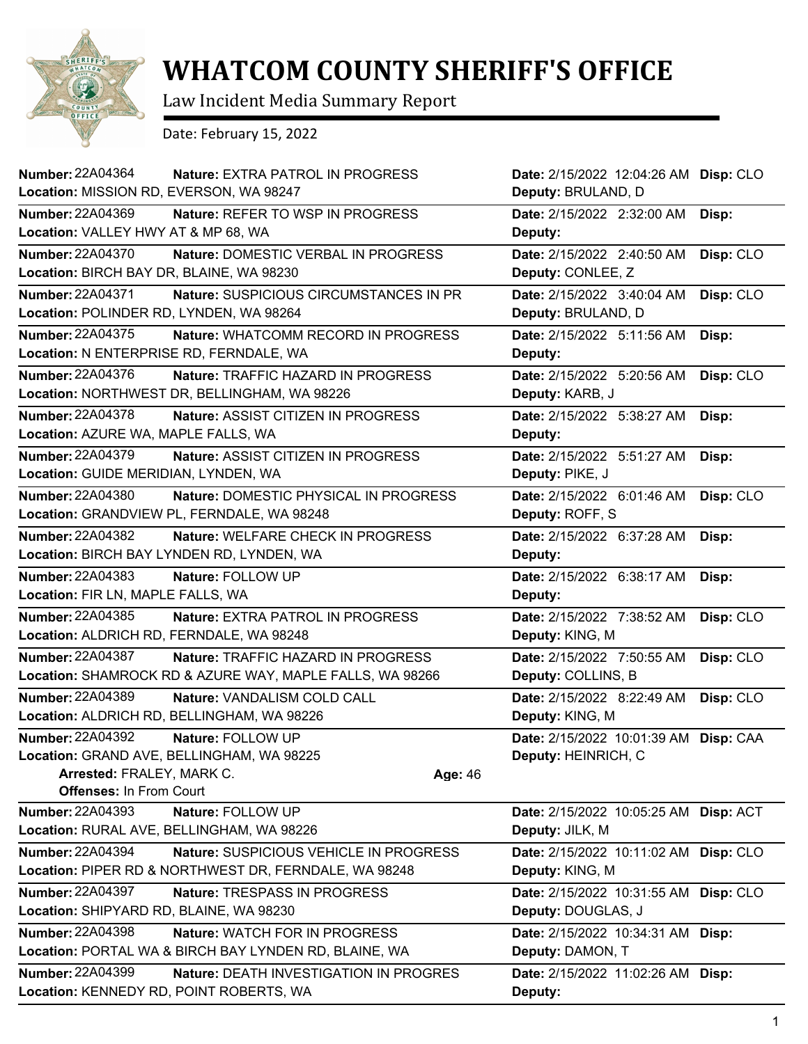

## **WHATCOM COUNTY SHERIFF'S OFFICE**

Law Incident Media Summary Report

Date: February 15, 2022

| Number: 22A04364<br>Location: MISSION RD, EVERSON, WA 98247          | <b>Nature: EXTRA PATROL IN PROGRESS</b>                                                        | Date: 2/15/2022 12:04:26 AM Disp: CLO<br>Deputy: BRULAND, D             |           |
|----------------------------------------------------------------------|------------------------------------------------------------------------------------------------|-------------------------------------------------------------------------|-----------|
| <b>Number: 22A04369</b><br>Location: VALLEY HWY AT & MP 68, WA       | Nature: REFER TO WSP IN PROGRESS                                                               | Date: 2/15/2022 2:32:00 AM<br>Deputy:                                   | Disp:     |
| Number: 22A04370<br>Location: BIRCH BAY DR, BLAINE, WA 98230         | Nature: DOMESTIC VERBAL IN PROGRESS                                                            | Date: 2/15/2022 2:40:50 AM<br>Deputy: CONLEE, Z                         | Disp: CLO |
| <b>Number: 22A04371</b><br>Location: POLINDER RD, LYNDEN, WA 98264   | Nature: SUSPICIOUS CIRCUMSTANCES IN PR                                                         | Date: 2/15/2022 3:40:04 AM<br>Deputy: BRULAND, D                        | Disp: CLO |
| <b>Number: 22A04375</b><br>Location: N ENTERPRISE RD, FERNDALE, WA   | Nature: WHATCOMM RECORD IN PROGRESS                                                            | Date: 2/15/2022 5:11:56 AM<br>Deputy:                                   | Disp:     |
| Number: 22A04376                                                     | Nature: TRAFFIC HAZARD IN PROGRESS<br>Location: NORTHWEST DR, BELLINGHAM, WA 98226             | Date: 2/15/2022 5:20:56 AM<br>Deputy: KARB, J                           | Disp: CLO |
| <b>Number: 22A04378</b><br>Location: AZURE WA, MAPLE FALLS, WA       | <b>Nature: ASSIST CITIZEN IN PROGRESS</b>                                                      | Date: 2/15/2022 5:38:27 AM<br>Deputy:                                   | Disp:     |
| <b>Number: 22A04379</b><br>Location: GUIDE MERIDIAN, LYNDEN, WA      | Nature: ASSIST CITIZEN IN PROGRESS                                                             | Date: 2/15/2022 5:51:27 AM<br>Deputy: PIKE, J                           | Disp:     |
| Number: 22A04380                                                     | Nature: DOMESTIC PHYSICAL IN PROGRESS<br>Location: GRANDVIEW PL, FERNDALE, WA 98248            | Date: 2/15/2022 6:01:46 AM<br>Deputy: ROFF, S                           | Disp: CLO |
| <b>Number: 22A04382</b>                                              | Nature: WELFARE CHECK IN PROGRESS<br>Location: BIRCH BAY LYNDEN RD, LYNDEN, WA                 | Date: 2/15/2022 6:37:28 AM<br>Deputy:                                   | Disp:     |
| Number: 22A04383<br>Location: FIR LN, MAPLE FALLS, WA                | Nature: FOLLOW UP                                                                              | Date: 2/15/2022 6:38:17 AM<br>Deputy:                                   | Disp:     |
| Number: 22A04385<br>Location: ALDRICH RD, FERNDALE, WA 98248         | Nature: EXTRA PATROL IN PROGRESS                                                               | Date: 2/15/2022 7:38:52 AM<br>Deputy: KING, M                           | Disp: CLO |
| <b>Number: 22A04387</b>                                              | Nature: TRAFFIC HAZARD IN PROGRESS<br>Location: SHAMROCK RD & AZURE WAY, MAPLE FALLS, WA 98266 | Date: 2/15/2022 7:50:55 AM<br>Deputy: COLLINS, B                        | Disp: CLO |
| <b>Number: 22A04389</b>                                              | Nature: VANDALISM COLD CALL<br>Location: ALDRICH RD, BELLINGHAM, WA 98226                      | Date: 2/15/2022 8:22:49 AM<br>Deputy: KING, M                           | Disp: CLO |
| Number: 22A04392<br>Arrested: FRALEY, MARK C.                        | Nature: FOLLOW UP<br>Location: GRAND AVE, BELLINGHAM, WA 98225                                 | Date: 2/15/2022 10:01:39 AM Disp: CAA<br>Deputy: HEINRICH, C<br>Age: 46 |           |
| <b>Offenses: In From Court</b><br><b>Number: 22A04393</b>            | Nature: FOLLOW UP                                                                              | Date: 2/15/2022 10:05:25 AM Disp: ACT                                   |           |
| Location: RURAL AVE, BELLINGHAM, WA 98226<br><b>Number: 22A04394</b> | Nature: SUSPICIOUS VEHICLE IN PROGRESS                                                         | Deputy: JILK, M<br>Date: 2/15/2022 10:11:02 AM                          | Disp: CLO |
| Number: 22A04397                                                     | Location: PIPER RD & NORTHWEST DR, FERNDALE, WA 98248                                          | Deputy: KING, M                                                         |           |
| Location: SHIPYARD RD, BLAINE, WA 98230                              | <b>Nature: TRESPASS IN PROGRESS</b>                                                            | Date: 2/15/2022 10:31:55 AM Disp: CLO<br>Deputy: DOUGLAS, J             |           |
| <b>Number: 22A04398</b>                                              | Nature: WATCH FOR IN PROGRESS<br>Location: PORTAL WA & BIRCH BAY LYNDEN RD, BLAINE, WA         | Date: 2/15/2022 10:34:31 AM Disp:<br>Deputy: DAMON, T                   |           |
| Number: 22A04399<br>Location: KENNEDY RD, POINT ROBERTS, WA          | Nature: DEATH INVESTIGATION IN PROGRES                                                         | Date: 2/15/2022 11:02:26 AM Disp:<br>Deputy:                            |           |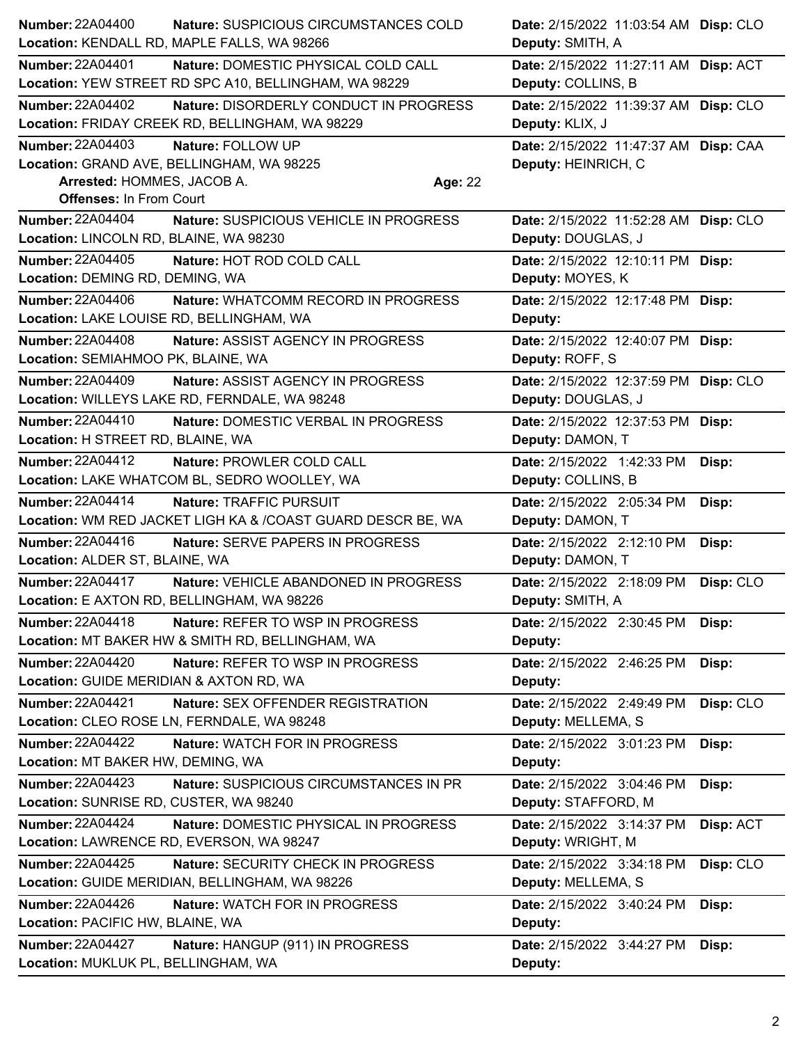| <b>Number: 22A04400</b>                  | Nature: SUSPICIOUS CIRCUMSTANCES COLD                       |                | Date: 2/15/2022 11:03:54 AM Disp: CLO |           |
|------------------------------------------|-------------------------------------------------------------|----------------|---------------------------------------|-----------|
|                                          | Location: KENDALL RD, MAPLE FALLS, WA 98266                 |                | Deputy: SMITH, A                      |           |
| <b>Number: 22A04401</b>                  | Nature: DOMESTIC PHYSICAL COLD CALL                         |                | Date: 2/15/2022 11:27:11 AM Disp: ACT |           |
|                                          | Location: YEW STREET RD SPC A10, BELLINGHAM, WA 98229       |                | Deputy: COLLINS, B                    |           |
| <b>Number: 22A04402</b>                  | Nature: DISORDERLY CONDUCT IN PROGRESS                      |                | Date: 2/15/2022 11:39:37 AM Disp: CLO |           |
|                                          | Location: FRIDAY CREEK RD, BELLINGHAM, WA 98229             |                | Deputy: KLIX, J                       |           |
| <b>Number: 22A04403</b>                  | Nature: FOLLOW UP                                           |                | Date: 2/15/2022 11:47:37 AM Disp: CAA |           |
|                                          | Location: GRAND AVE, BELLINGHAM, WA 98225                   |                | Deputy: HEINRICH, C                   |           |
| Arrested: HOMMES, JACOB A.               |                                                             | <b>Age: 22</b> |                                       |           |
| <b>Offenses: In From Court</b>           |                                                             |                |                                       |           |
| <b>Number: 22A04404</b>                  | Nature: SUSPICIOUS VEHICLE IN PROGRESS                      |                | Date: 2/15/2022 11:52:28 AM Disp: CLO |           |
| Location: LINCOLN RD, BLAINE, WA 98230   |                                                             |                | Deputy: DOUGLAS, J                    |           |
| Number: 22A04405                         | Nature: HOT ROD COLD CALL                                   |                | Date: 2/15/2022 12:10:11 PM Disp:     |           |
| Location: DEMING RD, DEMING, WA          |                                                             |                | Deputy: MOYES, K                      |           |
| Number: 22A04406                         | Nature: WHATCOMM RECORD IN PROGRESS                         |                | Date: 2/15/2022 12:17:48 PM Disp:     |           |
| Location: LAKE LOUISE RD, BELLINGHAM, WA |                                                             |                | Deputy:                               |           |
| <b>Number: 22A04408</b>                  | Nature: ASSIST AGENCY IN PROGRESS                           |                | Date: 2/15/2022 12:40:07 PM Disp:     |           |
| Location: SEMIAHMOO PK, BLAINE, WA       |                                                             |                | Deputy: ROFF, S                       |           |
| <b>Number: 22A04409</b>                  | Nature: ASSIST AGENCY IN PROGRESS                           |                | Date: 2/15/2022 12:37:59 PM Disp: CLO |           |
|                                          | Location: WILLEYS LAKE RD, FERNDALE, WA 98248               |                | Deputy: DOUGLAS, J                    |           |
| <b>Number: 22A04410</b>                  | Nature: DOMESTIC VERBAL IN PROGRESS                         |                | Date: 2/15/2022 12:37:53 PM Disp:     |           |
| Location: H STREET RD, BLAINE, WA        |                                                             |                | Deputy: DAMON, T                      |           |
| Number: 22A04412                         | Nature: PROWLER COLD CALL                                   |                | Date: 2/15/2022 1:42:33 PM            | Disp:     |
|                                          | Location: LAKE WHATCOM BL, SEDRO WOOLLEY, WA                |                | Deputy: COLLINS, B                    |           |
| Number: 22A04414                         | Nature: TRAFFIC PURSUIT                                     |                | Date: 2/15/2022 2:05:34 PM            | Disp:     |
|                                          | Location: WM RED JACKET LIGH KA & /COAST GUARD DESCR BE, WA |                | Deputy: DAMON, T                      |           |
| Number: 22A04416                         | Nature: SERVE PAPERS IN PROGRESS                            |                | Date: 2/15/2022 2:12:10 PM            | Disp:     |
| Location: ALDER ST, BLAINE, WA           |                                                             |                | Deputy: DAMON, T                      |           |
| <b>Number: 22A04417</b>                  | Nature: VEHICLE ABANDONED IN PROGRESS                       |                | Date: 2/15/2022 2:18:09 PM            | Disp: CLO |
|                                          | Location: E AXTON RD, BELLINGHAM, WA 98226                  |                | Deputy: SMITH, A                      |           |
| <b>Number: 22A04418</b>                  | Nature: REFER TO WSP IN PROGRESS                            |                | Date: 2/15/2022 2:30:45 PM            | Disp:     |
|                                          | Location: MT BAKER HW & SMITH RD, BELLINGHAM, WA            |                | Deputy:                               |           |
| <b>Number: 22A04420</b>                  | Nature: REFER TO WSP IN PROGRESS                            |                | Date: 2/15/2022 2:46:25 PM            | Disp:     |
| Location: GUIDE MERIDIAN & AXTON RD, WA  |                                                             |                | Deputy:                               |           |
| <b>Number: 22A04421</b>                  | Nature: SEX OFFENDER REGISTRATION                           |                | Date: 2/15/2022 2:49:49 PM            | Disp: CLO |
|                                          | Location: CLEO ROSE LN, FERNDALE, WA 98248                  |                | Deputy: MELLEMA, S                    |           |
| <b>Number: 22A04422</b>                  | Nature: WATCH FOR IN PROGRESS                               |                | Date: 2/15/2022 3:01:23 PM            | Disp:     |
| Location: MT BAKER HW, DEMING, WA        |                                                             |                | Deputy:                               |           |
| <b>Number: 22A04423</b>                  | Nature: SUSPICIOUS CIRCUMSTANCES IN PR                      |                | Date: 2/15/2022 3:04:46 PM            | Disp:     |
| Location: SUNRISE RD, CUSTER, WA 98240   |                                                             |                | Deputy: STAFFORD, M                   |           |
| <b>Number: 22A04424</b>                  | Nature: DOMESTIC PHYSICAL IN PROGRESS                       |                | Date: 2/15/2022 3:14:37 PM            | Disp: ACT |
|                                          | Location: LAWRENCE RD, EVERSON, WA 98247                    |                | Deputy: WRIGHT, M                     |           |
| Number: 22A04425                         | Nature: SECURITY CHECK IN PROGRESS                          |                | Date: 2/15/2022 3:34:18 PM            | Disp: CLO |
|                                          | Location: GUIDE MERIDIAN, BELLINGHAM, WA 98226              |                | Deputy: MELLEMA, S                    |           |
| Number: 22A04426                         | Nature: WATCH FOR IN PROGRESS                               |                | Date: 2/15/2022 3:40:24 PM            | Disp:     |
| Location: PACIFIC HW, BLAINE, WA         |                                                             |                | Deputy:                               |           |
| <b>Number: 22A04427</b>                  | Nature: HANGUP (911) IN PROGRESS                            |                | Date: 2/15/2022 3:44:27 PM            | Disp:     |
| Location: MUKLUK PL, BELLINGHAM, WA      |                                                             |                | Deputy:                               |           |
|                                          |                                                             |                |                                       |           |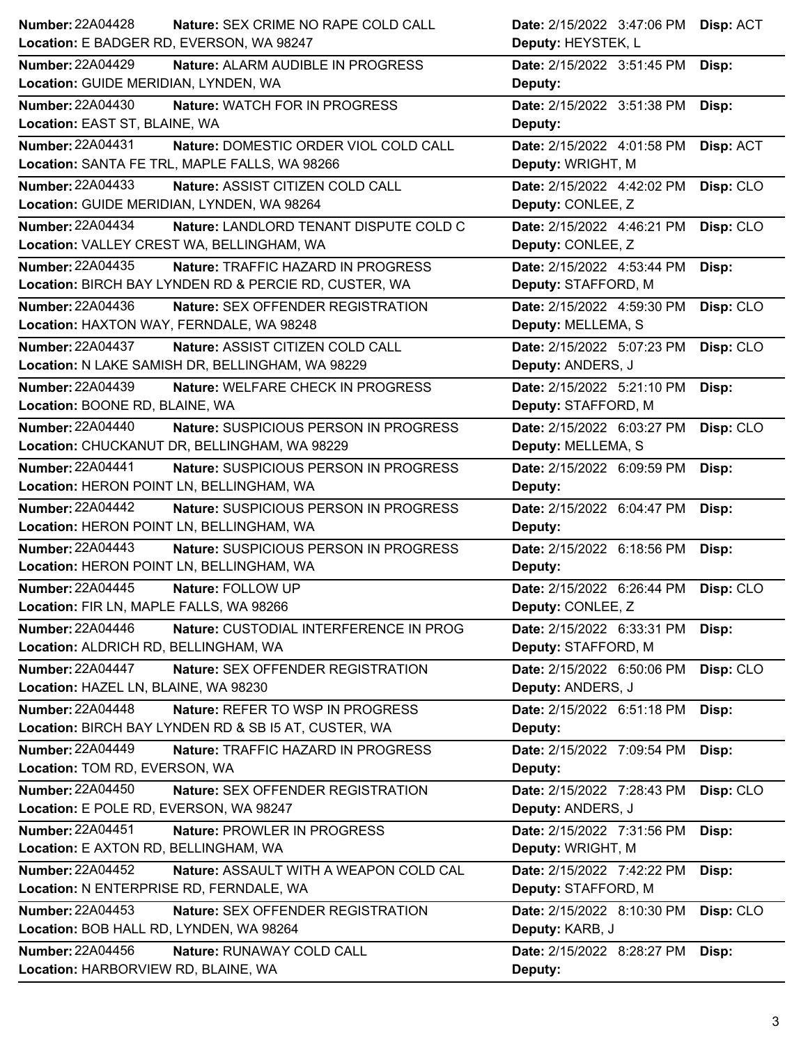| <b>Number: 22A04428</b>                  | Nature: SEX CRIME NO RAPE COLD CALL                   | Date: 2/15/2022 3:47:06 PM       | Disp: ACT |
|------------------------------------------|-------------------------------------------------------|----------------------------------|-----------|
| Location: E BADGER RD, EVERSON, WA 98247 |                                                       | Deputy: HEYSTEK, L               |           |
| <b>Number: 22A04429</b>                  | Nature: ALARM AUDIBLE IN PROGRESS                     | Date: 2/15/2022 3:51:45 PM       | Disp:     |
| Location: GUIDE MERIDIAN, LYNDEN, WA     |                                                       | Deputy:                          |           |
| <b>Number: 22A04430</b>                  | Nature: WATCH FOR IN PROGRESS                         | Date: 2/15/2022 3:51:38 PM       | Disp:     |
| Location: EAST ST, BLAINE, WA            |                                                       | Deputy:                          |           |
| <b>Number: 22A04431</b>                  | Nature: DOMESTIC ORDER VIOL COLD CALL                 | Date: 2/15/2022 4:01:58 PM       | Disp: ACT |
|                                          | Location: SANTA FE TRL, MAPLE FALLS, WA 98266         | Deputy: WRIGHT, M                |           |
| <b>Number: 22A04433</b>                  | Nature: ASSIST CITIZEN COLD CALL                      | Date: 2/15/2022 4:42:02 PM       | Disp: CLO |
|                                          | Location: GUIDE MERIDIAN, LYNDEN, WA 98264            | Deputy: CONLEE, Z                |           |
| <b>Number: 22A04434</b>                  | Nature: LANDLORD TENANT DISPUTE COLD C                | Date: 2/15/2022 4:46:21 PM       | Disp: CLO |
|                                          | Location: VALLEY CREST WA, BELLINGHAM, WA             | Deputy: CONLEE, Z                |           |
| <b>Number: 22A04435</b>                  | Nature: TRAFFIC HAZARD IN PROGRESS                    | Date: 2/15/2022 4:53:44 PM       | Disp:     |
|                                          | Location: BIRCH BAY LYNDEN RD & PERCIE RD, CUSTER, WA | Deputy: STAFFORD, M              |           |
| Number: 22A04436                         | Nature: SEX OFFENDER REGISTRATION                     | Date: 2/15/2022 4:59:30 PM       | Disp: CLO |
| Location: HAXTON WAY, FERNDALE, WA 98248 |                                                       | Deputy: MELLEMA, S               |           |
| <b>Number: 22A04437</b>                  | Nature: ASSIST CITIZEN COLD CALL                      | Date: 2/15/2022 5:07:23 PM       | Disp: CLO |
|                                          | Location: N LAKE SAMISH DR, BELLINGHAM, WA 98229      | Deputy: ANDERS, J                |           |
| <b>Number: 22A04439</b>                  | Nature: WELFARE CHECK IN PROGRESS                     | Date: 2/15/2022 5:21:10 PM       | Disp:     |
| Location: BOONE RD, BLAINE, WA           |                                                       | Deputy: STAFFORD, M              |           |
| <b>Number: 22A04440</b>                  | Nature: SUSPICIOUS PERSON IN PROGRESS                 | Date: 2/15/2022 6:03:27 PM       | Disp: CLO |
|                                          | Location: CHUCKANUT DR, BELLINGHAM, WA 98229          | Deputy: MELLEMA, S               |           |
| Number: 22A04441                         | Nature: SUSPICIOUS PERSON IN PROGRESS                 | Date: 2/15/2022 6:09:59 PM       | Disp:     |
| Location: HERON POINT LN, BELLINGHAM, WA |                                                       | Deputy:                          |           |
|                                          |                                                       |                                  |           |
| <b>Number: 22A04442</b>                  | Nature: SUSPICIOUS PERSON IN PROGRESS                 | Date: 2/15/2022 6:04:47 PM       | Disp:     |
| Location: HERON POINT LN, BELLINGHAM, WA |                                                       | Deputy:                          |           |
| Number: 22A04443                         | Nature: SUSPICIOUS PERSON IN PROGRESS                 | Date: 2/15/2022 6:18:56 PM       | Disp:     |
| Location: HERON POINT LN, BELLINGHAM, WA |                                                       | Deputy:                          |           |
| <b>Number: 22A04445</b>                  | Nature: FOLLOW UP                                     | Date: 2/15/2022 6:26:44 PM       | Disp: CLO |
| Location: FIR LN, MAPLE FALLS, WA 98266  |                                                       | Deputy: CONLEE, Z                |           |
| <b>Number: 22A04446</b>                  | Nature: CUSTODIAL INTERFERENCE IN PROG                | Date: 2/15/2022 6:33:31 PM Disp: |           |
| Location: ALDRICH RD, BELLINGHAM, WA     |                                                       | Deputy: STAFFORD, M              |           |
| <b>Number: 22A04447</b>                  | Nature: SEX OFFENDER REGISTRATION                     | Date: 2/15/2022 6:50:06 PM       | Disp: CLO |
| Location: HAZEL LN, BLAINE, WA 98230     |                                                       | Deputy: ANDERS, J                |           |
| Number: 22A04448                         | Nature: REFER TO WSP IN PROGRESS                      | Date: 2/15/2022 6:51:18 PM       | Disp:     |
|                                          | Location: BIRCH BAY LYNDEN RD & SB I5 AT, CUSTER, WA  | Deputy:                          |           |
| <b>Number: 22A04449</b>                  | Nature: TRAFFIC HAZARD IN PROGRESS                    | Date: 2/15/2022 7:09:54 PM       | Disp:     |
| Location: TOM RD, EVERSON, WA            |                                                       | Deputy:                          |           |
| <b>Number: 22A04450</b>                  | Nature: SEX OFFENDER REGISTRATION                     | Date: 2/15/2022 7:28:43 PM       | Disp: CLO |
| Location: E POLE RD, EVERSON, WA 98247   |                                                       | Deputy: ANDERS, J                |           |
| Number: 22A04451                         | Nature: PROWLER IN PROGRESS                           | Date: 2/15/2022 7:31:56 PM       | Disp:     |
| Location: E AXTON RD, BELLINGHAM, WA     |                                                       | Deputy: WRIGHT, M                |           |
| Number: 22A04452                         | Nature: ASSAULT WITH A WEAPON COLD CAL                | Date: 2/15/2022 7:42:22 PM       | Disp:     |
| Location: N ENTERPRISE RD, FERNDALE, WA  |                                                       | Deputy: STAFFORD, M              |           |
| <b>Number: 22A04453</b>                  | Nature: SEX OFFENDER REGISTRATION                     | Date: 2/15/2022 8:10:30 PM       | Disp: CLO |
| Location: BOB HALL RD, LYNDEN, WA 98264  |                                                       | Deputy: KARB, J                  |           |
| Number: 22A04456                         | Nature: RUNAWAY COLD CALL                             | Date: 2/15/2022 8:28:27 PM       | Disp:     |